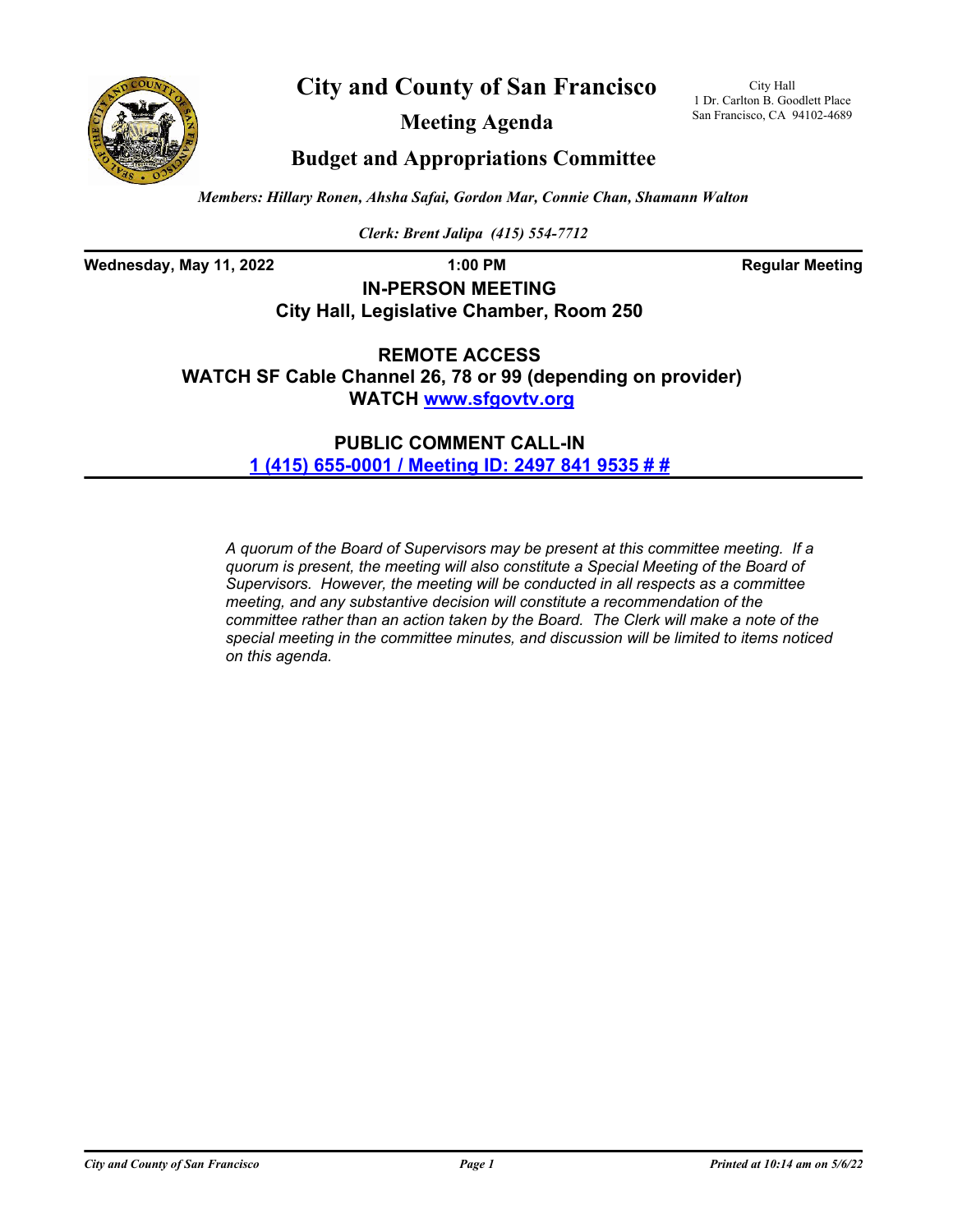



**Meeting Agenda**

City Hall 1 Dr. Carlton B. Goodlett Place San Francisco, CA 94102-4689

## **Budget and Appropriations Committee**

*Members: Hillary Ronen, Ahsha Safai, Gordon Mar, Connie Chan, Shamann Walton*

*Clerk: Brent Jalipa (415) 554-7712*

**Wednesday, May 11, 2022 1:00 PM Regular Meeting**

# **IN-PERSON MEETING City Hall, Legislative Chamber, Room 250**

**REMOTE ACCESS WATCH SF Cable Channel 26, 78 or 99 (depending on provider) WATCH<www.sfgovtv.org>**

> **PUBLIC COMMENT CALL-IN [1 \(415\) 655-0001 / Meeting ID: 2497 841 9535 # #](tel:+14156550001,,24978419535#,,#)**

*A quorum of the Board of Supervisors may be present at this committee meeting. If a quorum is present, the meeting will also constitute a Special Meeting of the Board of Supervisors. However, the meeting will be conducted in all respects as a committee meeting, and any substantive decision will constitute a recommendation of the committee rather than an action taken by the Board. The Clerk will make a note of the special meeting in the committee minutes, and discussion will be limited to items noticed on this agenda.*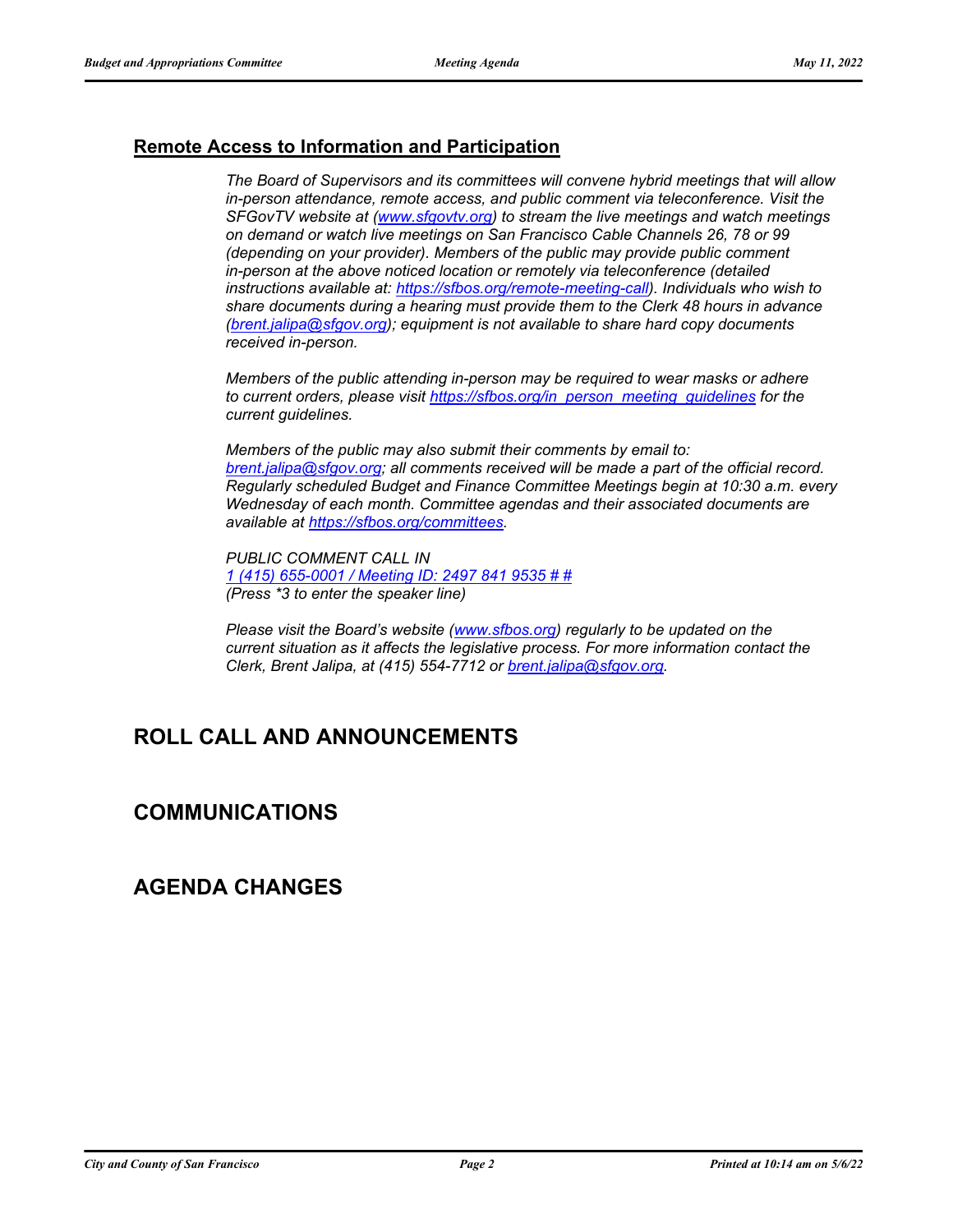### **Remote Access to Information and Participation**

*The Board of Supervisors and its committees will convene hybrid meetings that will allow in-person attendance, remote access, and public comment via teleconference. Visit the SFGovTV website at [\(www.sfgovtv.org\)](www.sfgovtv.org) to stream the live meetings and watch meetings on demand or watch live meetings on San Francisco Cable Channels 26, 78 or 99 (depending on your provider). Members of the public may provide public comment in-person at the above noticed location or remotely via teleconference (detailed instructions available at: [https://sfbos.org/remote-meeting-call\)](https://sfbos.org/remote-meeting-call). Individuals who wish to share documents during a hearing must provide them to the Clerk 48 hours in advance [\(brent.jalipa@sfgov.org\);](mailto:brent.jalipa@sfgov.org) equipment is not available to share hard copy documents received in-person.*

*Members of the public attending in-person may be required to wear masks or adhere to current orders, please visit [https://sfbos.org/in\\_person\\_meeting\\_guidelines](https://sfbos.org/in_person_meeting_guidelines) for the current guidelines.*

*Members of the public may also submit their comments by email to: [brent.jalipa@sfgov.org;](mailto:brent.jalipa@sfgov.org) all comments received will be made a part of the official record. Regularly scheduled Budget and Finance Committee Meetings begin at 10:30 a.m. every Wednesday of each month. Committee agendas and their associated documents are available at [https://sfbos.org/committees.](https://sfbos.org/committees)*

*PUBLIC COMMENT CALL IN [1 \(415\) 655-0001 / Meeting ID: 2497 841 9535 # #](tel:+14156550001,,24978419535#,,#) (Press \*3 to enter the speaker line)*

*Please visit the Board's website [\(www.sfbos.org\)](www.sfbos.org) regularly to be updated on the current situation as it affects the legislative process. For more information contact the Clerk, Brent Jalipa, at (415) 554-7712 or [brent.jalipa@sfgov.org.](mailto:brent.jalipa@sfgov.org)*

# **ROLL CALL AND ANNOUNCEMENTS**

### **COMMUNICATIONS**

### **AGENDA CHANGES**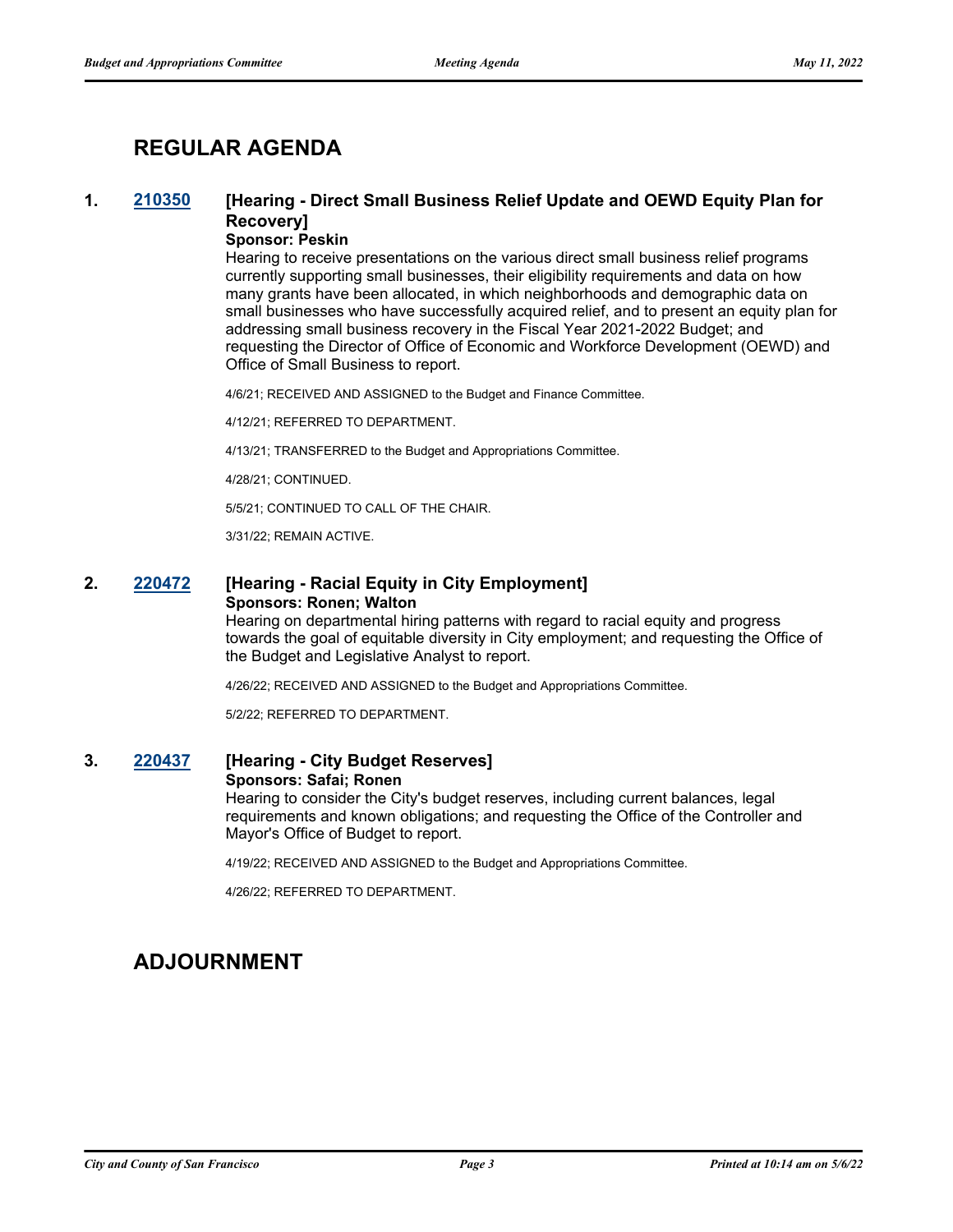# **REGULAR AGENDA**

### **1. [210350](http://sfgov.legistar.com/gateway.aspx?m=l&id=37220) [Hearing - Direct Small Business Relief Update and OEWD Equity Plan for Recovery]**

### **Sponsor: Peskin**

Hearing to receive presentations on the various direct small business relief programs currently supporting small businesses, their eligibility requirements and data on how many grants have been allocated, in which neighborhoods and demographic data on small businesses who have successfully acquired relief, and to present an equity plan for addressing small business recovery in the Fiscal Year 2021-2022 Budget; and requesting the Director of Office of Economic and Workforce Development (OEWD) and Office of Small Business to report.

4/6/21; RECEIVED AND ASSIGNED to the Budget and Finance Committee.

4/12/21; REFERRED TO DEPARTMENT.

4/13/21; TRANSFERRED to the Budget and Appropriations Committee.

4/28/21; CONTINUED.

5/5/21; CONTINUED TO CALL OF THE CHAIR.

3/31/22; REMAIN ACTIVE.

### **2. [220472](http://sfgov.legistar.com/gateway.aspx?m=l&id=38664) [Hearing - Racial Equity in City Employment] Sponsors: Ronen; Walton**

Hearing on departmental hiring patterns with regard to racial equity and progress towards the goal of equitable diversity in City employment; and requesting the Office of the Budget and Legislative Analyst to report.

4/26/22; RECEIVED AND ASSIGNED to the Budget and Appropriations Committee.

5/2/22; REFERRED TO DEPARTMENT.

### **3. [220437](http://sfgov.legistar.com/gateway.aspx?m=l&id=38629) [Hearing - City Budget Reserves]**

#### **Sponsors: Safai; Ronen**

Hearing to consider the City's budget reserves, including current balances, legal requirements and known obligations; and requesting the Office of the Controller and Mayor's Office of Budget to report.

4/19/22; RECEIVED AND ASSIGNED to the Budget and Appropriations Committee.

4/26/22; REFERRED TO DEPARTMENT.

# **ADJOURNMENT**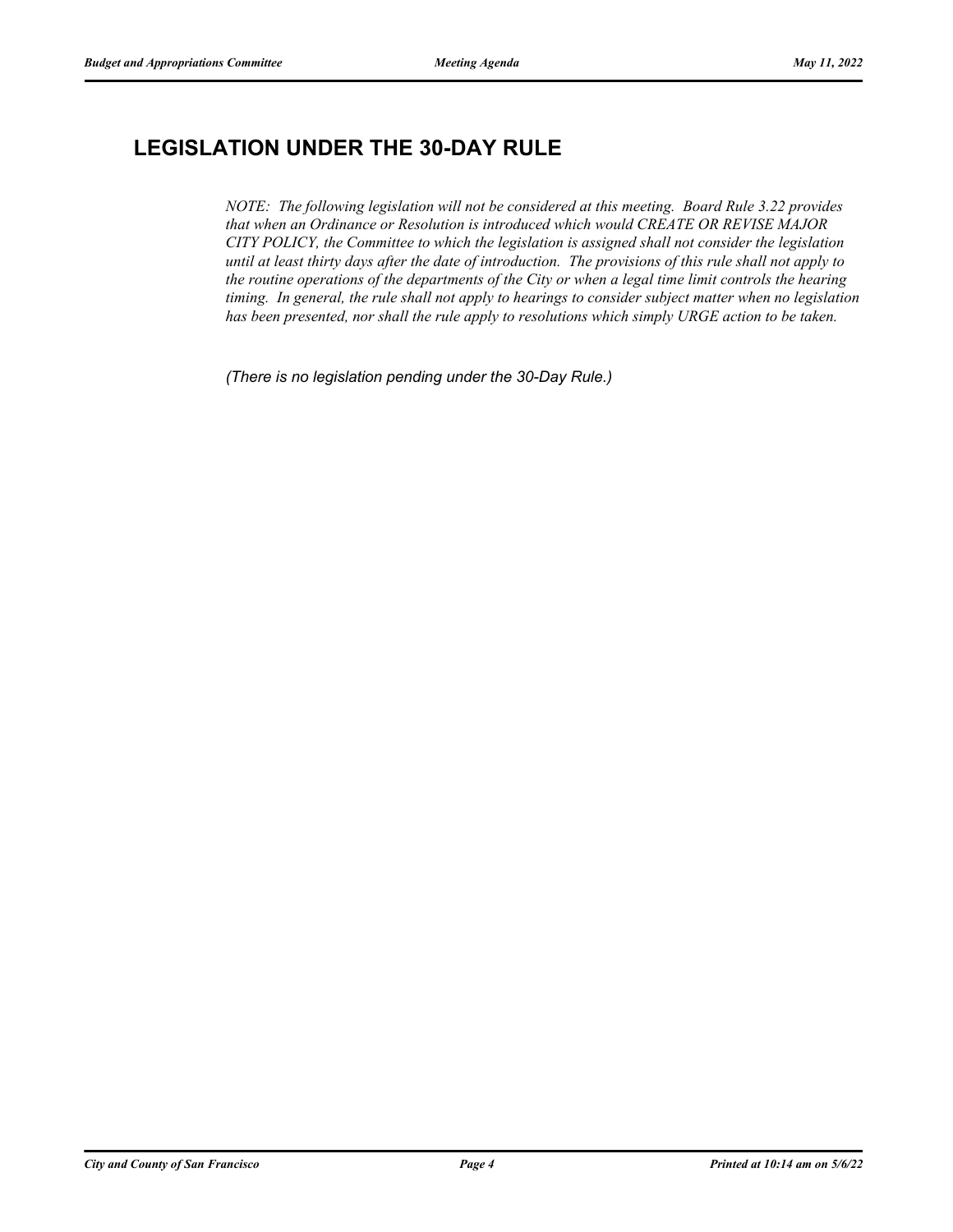# **LEGISLATION UNDER THE 30-DAY RULE**

*NOTE: The following legislation will not be considered at this meeting. Board Rule 3.22 provides that when an Ordinance or Resolution is introduced which would CREATE OR REVISE MAJOR CITY POLICY, the Committee to which the legislation is assigned shall not consider the legislation until at least thirty days after the date of introduction. The provisions of this rule shall not apply to the routine operations of the departments of the City or when a legal time limit controls the hearing timing. In general, the rule shall not apply to hearings to consider subject matter when no legislation has been presented, nor shall the rule apply to resolutions which simply URGE action to be taken.*

*(There is no legislation pending under the 30-Day Rule.)*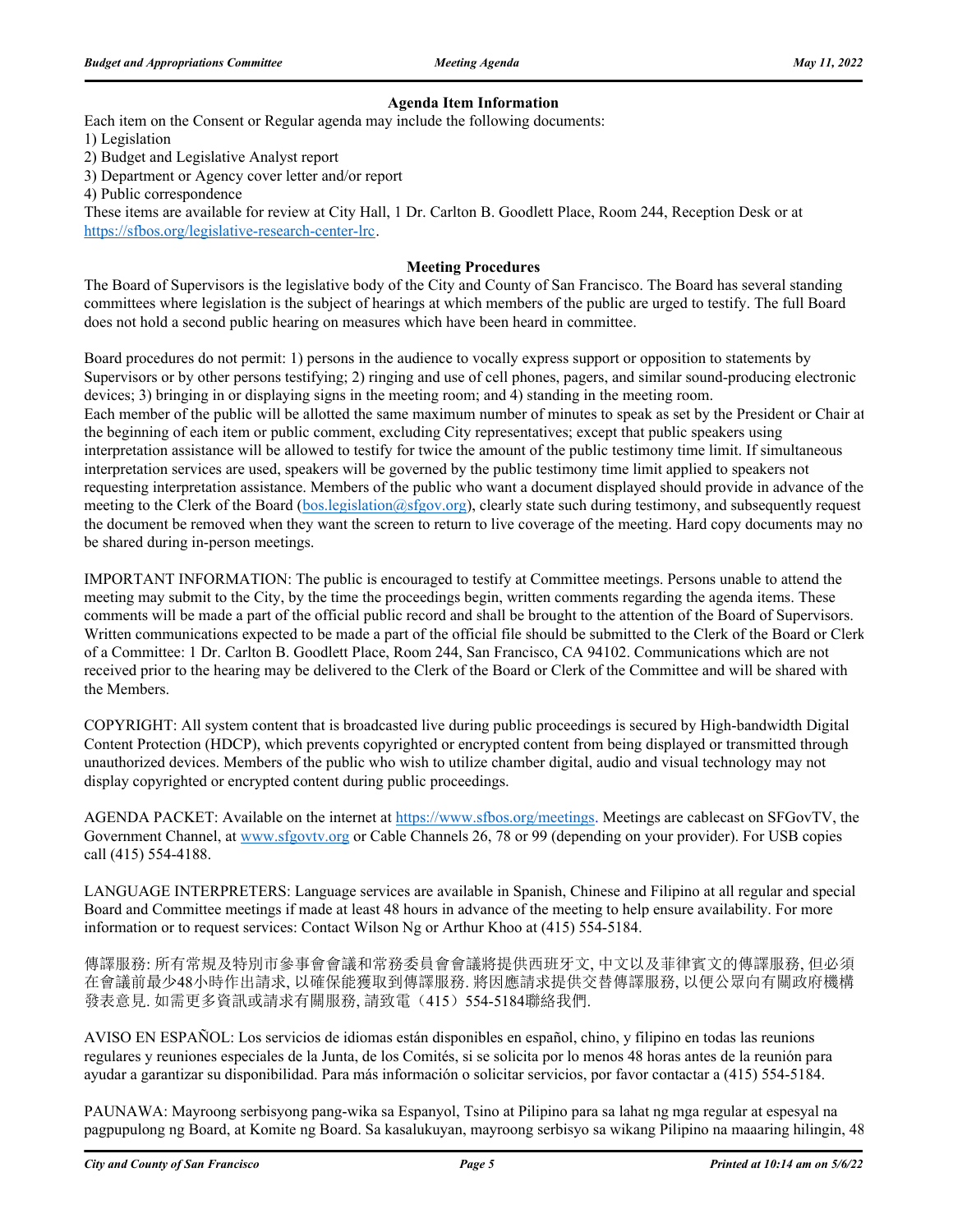#### **Agenda Item Information**

Each item on the Consent or Regular agenda may include the following documents:

1) Legislation

2) Budget and Legislative Analyst report

3) Department or Agency cover letter and/or report

4) Public correspondence

These items are available for review at City Hall, 1 Dr. Carlton B. Goodlett Place, Room 244, Reception Desk or at https://sfbos.org/legislative-research-center-lrc.

#### **Meeting Procedures**

The Board of Supervisors is the legislative body of the City and County of San Francisco. The Board has several standing committees where legislation is the subject of hearings at which members of the public are urged to testify. The full Board does not hold a second public hearing on measures which have been heard in committee.

Board procedures do not permit: 1) persons in the audience to vocally express support or opposition to statements by Supervisors or by other persons testifying; 2) ringing and use of cell phones, pagers, and similar sound-producing electronic devices; 3) bringing in or displaying signs in the meeting room; and 4) standing in the meeting room. Each member of the public will be allotted the same maximum number of minutes to speak as set by the President or Chair at the beginning of each item or public comment, excluding City representatives; except that public speakers using interpretation assistance will be allowed to testify for twice the amount of the public testimony time limit. If simultaneous interpretation services are used, speakers will be governed by the public testimony time limit applied to speakers not requesting interpretation assistance. Members of the public who want a document displayed should provide in advance of the meeting to the Clerk of the Board (bos.legislation@sfgov.org), clearly state such during testimony, and subsequently request the document be removed when they want the screen to return to live coverage of the meeting. Hard copy documents may no be shared during in-person meetings.

IMPORTANT INFORMATION: The public is encouraged to testify at Committee meetings. Persons unable to attend the meeting may submit to the City, by the time the proceedings begin, written comments regarding the agenda items. These comments will be made a part of the official public record and shall be brought to the attention of the Board of Supervisors. Written communications expected to be made a part of the official file should be submitted to the Clerk of the Board or Clerk of a Committee: 1 Dr. Carlton B. Goodlett Place, Room 244, San Francisco, CA 94102. Communications which are not received prior to the hearing may be delivered to the Clerk of the Board or Clerk of the Committee and will be shared with the Members.

COPYRIGHT: All system content that is broadcasted live during public proceedings is secured by High-bandwidth Digital Content Protection (HDCP), which prevents copyrighted or encrypted content from being displayed or transmitted through unauthorized devices. Members of the public who wish to utilize chamber digital, audio and visual technology may not display copyrighted or encrypted content during public proceedings.

AGENDA PACKET: Available on the internet at https://www.sfbos.org/meetings. Meetings are cablecast on SFGovTV, the Government Channel, at www.sfgovtv.org or Cable Channels 26, 78 or 99 (depending on your provider). For USB copies call (415) 554-4188.

LANGUAGE INTERPRETERS: Language services are available in Spanish, Chinese and Filipino at all regular and special Board and Committee meetings if made at least 48 hours in advance of the meeting to help ensure availability. For more information or to request services: Contact Wilson Ng or Arthur Khoo at (415) 554-5184.

傳譯服務: 所有常規及特別市參事會會議和常務委員會會議將提供西班牙文, 中文以及菲律賓文的傳譯服務, 但必須 在會議前最少48小時作出請求, 以確保能獲取到傳譯服務. 將因應請求提供交替傳譯服務, 以便公眾向有關政府機構 發表意見. 如需更多資訊或請求有關服務, 請致電(415) 554-5184聯絡我們.

AVISO EN ESPAÑOL: Los servicios de idiomas están disponibles en español, chino, y filipino en todas las reunions regulares y reuniones especiales de la Junta, de los Comités, si se solicita por lo menos 48 horas antes de la reunión para ayudar a garantizar su disponibilidad. Para más información o solicitar servicios, por favor contactar a (415) 554-5184.

PAUNAWA: Mayroong serbisyong pang-wika sa Espanyol, Tsino at Pilipino para sa lahat ng mga regular at espesyal na pagpupulong ng Board, at Komite ng Board. Sa kasalukuyan, mayroong serbisyo sa wikang Pilipino na maaaring hilingin, 48